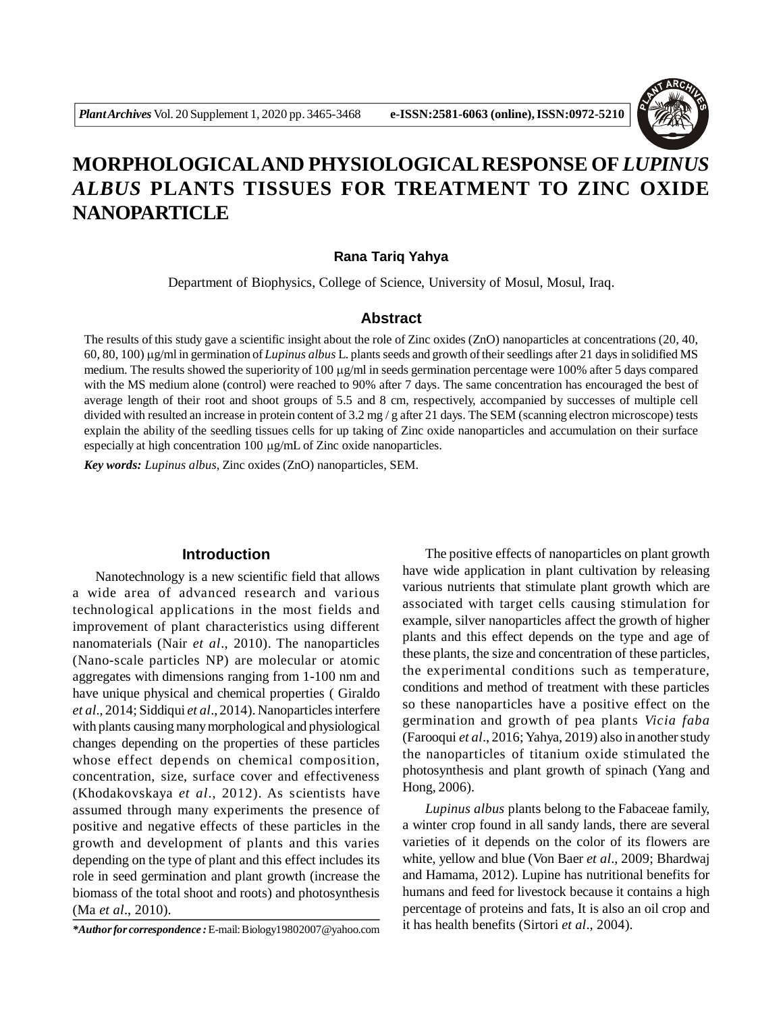

# **MORPHOLOGICALAND PHYSIOLOGICAL RESPONSE OF** *LUPINUS ALBUS* **PLANTS TISSUES FOR TREATMENT TO ZINC OXIDE NANOPARTICLE**

#### **Rana Tariq Yahya**

Department of Biophysics, College of Science, University of Mosul, Mosul, Iraq.

#### **Abstract**

The results of this study gave a scientific insight about the role of Zinc oxides (ZnO) nanoparticles at concentrations (20, 40, 60, 80, 100) g/ml in germination of *Lupinus albus* L. plants seeds and growth of their seedlings after 21 days in solidified MS medium. The results showed the superiority of 100  $\mu$ g/ml in seeds germination percentage were 100% after 5 days compared with the MS medium alone (control) were reached to 90% after 7 days. The same concentration has encouraged the best of average length of their root and shoot groups of 5.5 and 8 cm, respectively, accompanied by successes of multiple cell divided with resulted an increase in protein content of 3.2 mg / g after 21 days. The SEM (scanning electron microscope) tests explain the ability of the seedling tissues cells for up taking of Zinc oxide nanoparticles and accumulation on their surface especially at high concentration 100  $\mu$ g/mL of Zinc oxide nanoparticles.

*Key words: Lupinus albus*, Zinc oxides (ZnO) nanoparticles, SEM.

#### **Introduction**

Nanotechnology is a new scientific field that allows a wide area of advanced research and various technological applications in the most fields and improvement of plant characteristics using different nanomaterials (Nair *et al*., 2010). The nanoparticles (Nano-scale particles NP) are molecular or atomic aggregates with dimensions ranging from 1-100 nm and have unique physical and chemical properties ( Giraldo *et al*., 2014; Siddiqui *et al*., 2014). Nanoparticles interfere with plants causing many morphological and physiological changes depending on the properties of these particles whose effect depends on chemical composition, concentration, size, surface cover and effectiveness (Khodakovskaya *et al*., 2012). As scientists have assumed through many experiments the presence of positive and negative effects of these particles in the growth and development of plants and this varies depending on the type of plant and this effect includes its role in seed germination and plant growth (increase the biomass of the total shoot and roots) and photosynthesis (Ma *et al*., 2010).

The positive effects of nanoparticles on plant growth have wide application in plant cultivation by releasing various nutrients that stimulate plant growth which are associated with target cells causing stimulation for example, silver nanoparticles affect the growth of higher plants and this effect depends on the type and age of these plants, the size and concentration of these particles, the experimental conditions such as temperature, conditions and method of treatment with these particles so these nanoparticles have a positive effect on the germination and growth of pea plants *Vicia faba* (Farooqui *et al*., 2016; Yahya, 2019) also in another study the nanoparticles of titanium oxide stimulated the photosynthesis and plant growth of spinach (Yang and Hong, 2006).

*Lupinus albus* plants belong to the Fabaceae family, a winter crop found in all sandy lands, there are several varieties of it depends on the color of its flowers are white, yellow and blue (Von Baer *et al*., 2009; Bhardwaj and Hamama, 2012). Lupine has nutritional benefits for humans and feed for livestock because it contains a high percentage of proteins and fats, It is also an oil crop and it has health benefits (Sirtori *et al*., 2004).

*<sup>\*</sup>Author for correspondence :* E-mail: Biology19802007@yahoo.com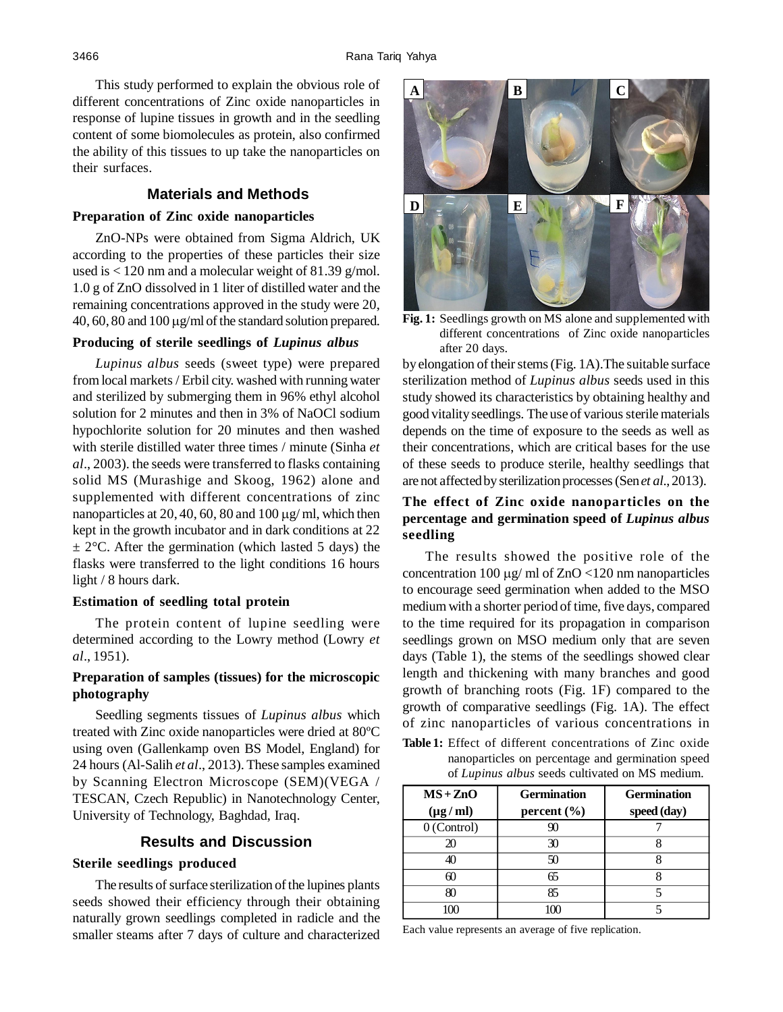This study performed to explain the obvious role of different concentrations of Zinc oxide nanoparticles in response of lupine tissues in growth and in the seedling content of some biomolecules as protein, also confirmed the ability of this tissues to up take the nanoparticles on their surfaces.

## **Materials and Methods**

#### **Preparation of Zinc oxide nanoparticles**

ZnO-NPs were obtained from Sigma Aldrich, UK according to the properties of these particles their size used is  $< 120$  nm and a molecular weight of 81.39 g/mol. 1.0 g of ZnO dissolved in 1 liter of distilled water and the remaining concentrations approved in the study were 20,  $40, 60, 80$  and  $100 \mu g/ml$  of the standard solution prepared.

#### **Producing of sterile seedlings of** *Lupinus albus*

*Lupinus albus* seeds (sweet type) were prepared from local markets / Erbil city. washed with running water and sterilized by submerging them in 96% ethyl alcohol solution for 2 minutes and then in 3% of NaOCl sodium hypochlorite solution for 20 minutes and then washed with sterile distilled water three times / minute (Sinha *et al*., 2003). the seeds were transferred to flasks containing solid MS (Murashige and Skoog, 1962) alone and supplemented with different concentrations of zinc nanoparticles at 20, 40, 60, 80 and 100  $\mu$ g/ ml, which then kept in the growth incubator and in dark conditions at 22  $\pm 2$ °C. After the germination (which lasted 5 days) the flasks were transferred to the light conditions 16 hours light / 8 hours dark.

#### **Estimation of seedling total protein**

The protein content of lupine seedling were determined according to the Lowry method (Lowry *et al*., 1951).

#### **Preparation of samples (tissues) for the microscopic photography**

Seedling segments tissues of *Lupinus albus* which treated with Zinc oxide nanoparticles were dried at 80ºC using oven (Gallenkamp oven BS Model, England) for 24 hours (Al-Salih *et al*., 2013). These samples examined by Scanning Electron Microscope (SEM)(VEGA / TESCAN, Czech Republic) in Nanotechnology Center, University of Technology, Baghdad, Iraq.

#### **Results and Discussion**

### **Sterile seedlings produced**

The results of surface sterilization of the lupines plants seeds showed their efficiency through their obtaining naturally grown seedlings completed in radicle and the smaller steams after 7 days of culture and characterized



**Fig. 1:** Seedlings growth on MS alone and supplemented with different concentrations of Zinc oxide nanoparticles after 20 days.

by elongation of their stems (Fig. 1A).The suitable surface sterilization method of *Lupinus albus* seeds used in this study showed its characteristics by obtaining healthy and good vitality seedlings. The use of various sterile materials depends on the time of exposure to the seeds as well as their concentrations, which are critical bases for the use of these seeds to produce sterile, healthy seedlings that are not affected by sterilization processes (Sen *et al*., 2013).

## **The effect of Zinc oxide nanoparticles on the percentage and germination speed of** *Lupinus albus* **seedling**

The results showed the positive role of the concentration 100  $\mu$ g/ ml of ZnO <120 nm nanoparticles to encourage seed germination when added to the MSO medium with a shorter period of time, five days, compared to the time required for its propagation in comparison seedlings grown on MSO medium only that are seven days (Table 1), the stems of the seedlings showed clear length and thickening with many branches and good growth of branching roots (Fig. 1F) compared to the growth of comparative seedlings (Fig. 1A). The effect of zinc nanoparticles of various concentrations in

**Table 1:** Effect of different concentrations of Zinc oxide nanoparticles on percentage and germination speed of *Lupinus albus* seeds cultivated on MS medium.

| $MS + ZnO$     | <b>Germination</b> | <b>Germination</b> |
|----------------|--------------------|--------------------|
| $(\mu g / ml)$ | percent $(\% )$    | speed (day)        |
| $0$ (Control)  |                    |                    |
|                | 30                 |                    |
|                | 50                 |                    |
| 60             | 65                 |                    |
| ନ୍ଧ            | 85                 |                    |
|                |                    |                    |

Each value represents an average of five replication.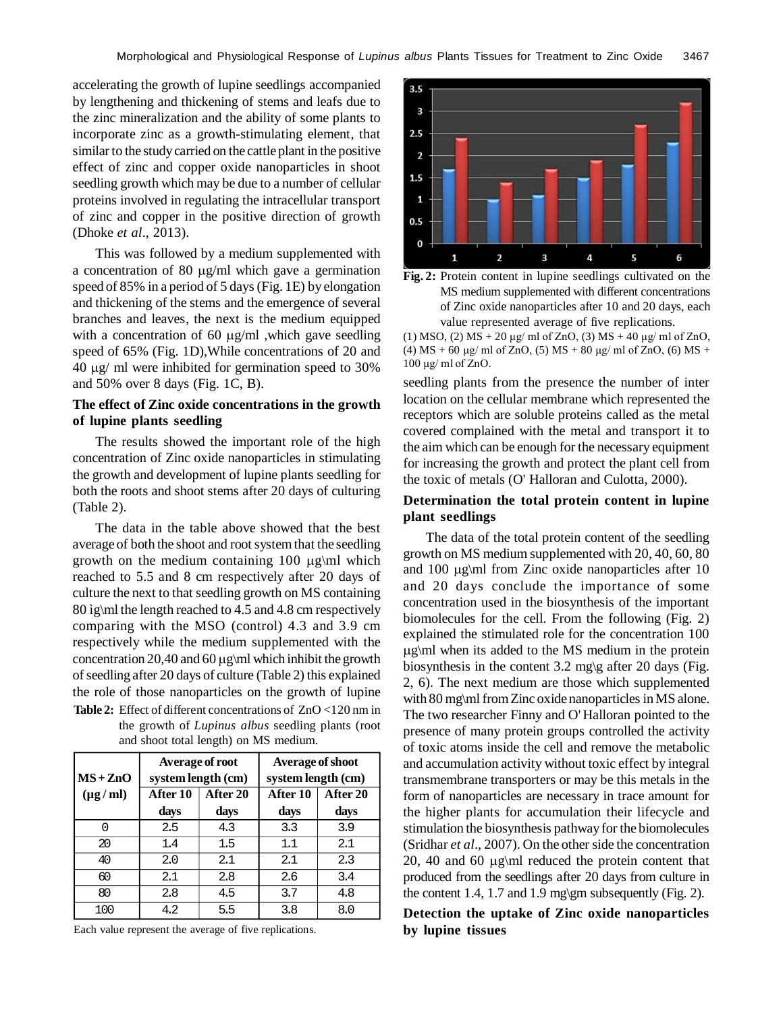accelerating the growth of lupine seedlings accompanied by lengthening and thickening of stems and leafs due to the zinc mineralization and the ability of some plants to incorporate zinc as a growth-stimulating element, that similar to the study carried on the cattle plant in the positive effect of zinc and copper oxide nanoparticles in shoot seedling growth which may be due to a number of cellular proteins involved in regulating the intracellular transport of zinc and copper in the positive direction of growth (Dhoke *et al*., 2013).

This was followed by a medium supplemented with a concentration of 80  $\mu$ g/ml which gave a germination speed of 85% in a period of 5 days (Fig. 1E) by elongation and thickening of the stems and the emergence of several branches and leaves, the next is the medium equipped with a concentration of 60  $\mu$ g/ml ,which gave seedling speed of 65% (Fig. 1D),While concentrations of 20 and  $40 \mu g$  ml were inhibited for germination speed to 30% and 50% over 8 days (Fig. 1C, B).

#### **The effect of Zinc oxide concentrations in the growth of lupine plants seedling**

The results showed the important role of the high concentration of Zinc oxide nanoparticles in stimulating the growth and development of lupine plants seedling for both the roots and shoot stems after 20 days of culturing (Table 2).

The data in the table above showed that the best average of both the shoot and root system that the seedling growth on the medium containing 100  $\mu$ g\ml which reached to 5.5 and 8 cm respectively after 20 days of culture the next to that seedling growth on MS containing 80 ìg\ml the length reached to 4.5 and 4.8 cm respectively comparing with the MSO (control) 4.3 and 3.9 cm respectively while the medium supplemented with the concentration 20,40 and 60  $\mu$ g\ml which inhibit the growth of seedling after 20 days of culture (Table 2) this explained the role of those nanoparticles on the growth of lupine **Table 2:** Effect of different concentrations of ZnO <120 nm in the growth of *Lupinus albus* seedling plants (root and shoot total length) on MS medium.

| $MS + ZnO$     | Average of root<br>system length (cm) |          | Average of shoot<br>system length (cm) |          |
|----------------|---------------------------------------|----------|----------------------------------------|----------|
| $(\mu g / ml)$ | After 10                              | After 20 | After 10                               | After 20 |
|                | days                                  | days     | days                                   | days     |
|                | 2.5                                   | 4.3      | 3.3                                    | 3.9      |
| 20             | 1.4                                   | 1.5      | 1.1                                    | 2.1      |
| 40             | 2.0                                   | 2.1      | 2.1                                    | 2.3      |
| 60             | 2.1                                   | 2.8      | 2.6                                    | 3.4      |
| 80             | 2.8                                   | 4.5      | 3.7                                    | 4.8      |
| 100            | 4.2                                   | 5.5      | 3.8                                    | 8.0      |

Each value represent the average of five replications.





(1) MSO, (2) MS + 20 μg/ ml of ZnO, (3) MS + 40 μg/ ml of ZnO, (4)  $MS + 60 \mu g$  ml of ZnO, (5)  $MS + 80 \mu g$  ml of ZnO, (6)  $MS +$ 100 μg/ ml of ZnO.

seedling plants from the presence the number of inter location on the cellular membrane which represented the receptors which are soluble proteins called as the metal covered complained with the metal and transport it to the aim which can be enough for the necessary equipment for increasing the growth and protect the plant cell from the toxic of metals (O' Halloran and Culotta, 2000).

#### **Determination the total protein content in lupine plant seedlings**

The data of the total protein content of the seedling growth on MS medium supplemented with 20, 40, 60, 80 and 100  $\mu$ g\ml from Zinc oxide nanoparticles after 10 and 20 days conclude the importance of some concentration used in the biosynthesis of the important biomolecules for the cell. From the following (Fig. 2) explained the stimulated role for the concentration 100  $\mu$ g\ml when its added to the MS medium in the protein biosynthesis in the content 3.2 mg $\gtrsim$  after 20 days (Fig. 2, 6). The next medium are those which supplemented with 80 mg/ml from Zinc oxide nanoparticles in MS alone. The two researcher Finny and O' Halloran pointed to the presence of many protein groups controlled the activity of toxic atoms inside the cell and remove the metabolic and accumulation activity without toxic effect by integral transmembrane transporters or may be this metals in the form of nanoparticles are necessary in trace amount for the higher plants for accumulation their lifecycle and stimulation the biosynthesis pathway for the biomolecules (Sridhar *et al*., 2007). On the other side the concentration 20, 40 and 60  $\mu$ g\ml reduced the protein content that produced from the seedlings after 20 days from culture in the content 1.4, 1.7 and 1.9 mg\gm subsequently (Fig. 2).

#### **Detection the uptake of Zinc oxide nanoparticles by lupine tissues**